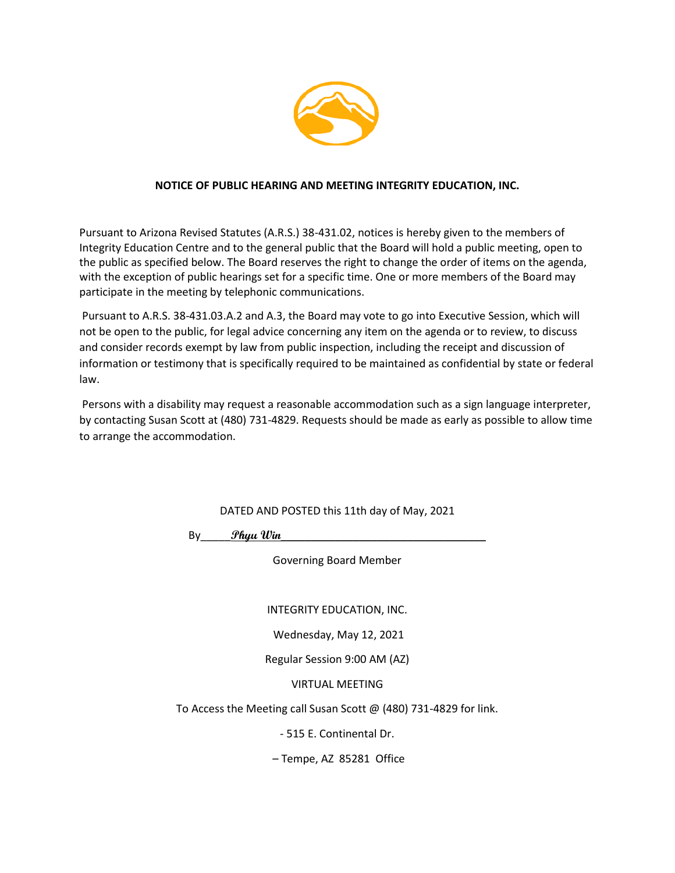

#### **NOTICE OF PUBLIC HEARING AND MEETING INTEGRITY EDUCATION, INC.**

Pursuant to Arizona Revised Statutes (A.R.S.) 38-431.02, notices is hereby given to the members of Integrity Education Centre and to the general public that the Board will hold a public meeting, open to the public as specified below. The Board reserves the right to change the order of items on the agenda, with the exception of public hearings set for a specific time. One or more members of the Board may participate in the meeting by telephonic communications.

Pursuant to A.R.S. 38-431.03.A.2 and A.3, the Board may vote to go into Executive Session, which will not be open to the public, for legal advice concerning any item on the agenda or to review, to discuss and consider records exempt by law from public inspection, including the receipt and discussion of information or testimony that is specifically required to be maintained as confidential by state or federal law.

Persons with a disability may request a reasonable accommodation such as a sign language interpreter, by contacting Susan Scott at (480) 731-4829. Requests should be made as early as possible to allow time to arrange the accommodation.

DATED AND POSTED this 11th day of May, 2021

By\_\_\_\_\_**Phyu Win**\_\_\_\_\_\_\_\_\_\_\_\_\_\_\_\_\_\_\_\_\_\_\_\_\_\_\_\_\_\_\_\_\_\_

Governing Board Member

INTEGRITY EDUCATION, INC.

Wednesday, May 12, 2021

Regular Session 9:00 AM (AZ)

VIRTUAL MEETING

To Access the Meeting call Susan Scott @ (480) 731-4829 for link.

- 515 E. Continental Dr.

– Tempe, AZ 85281 Office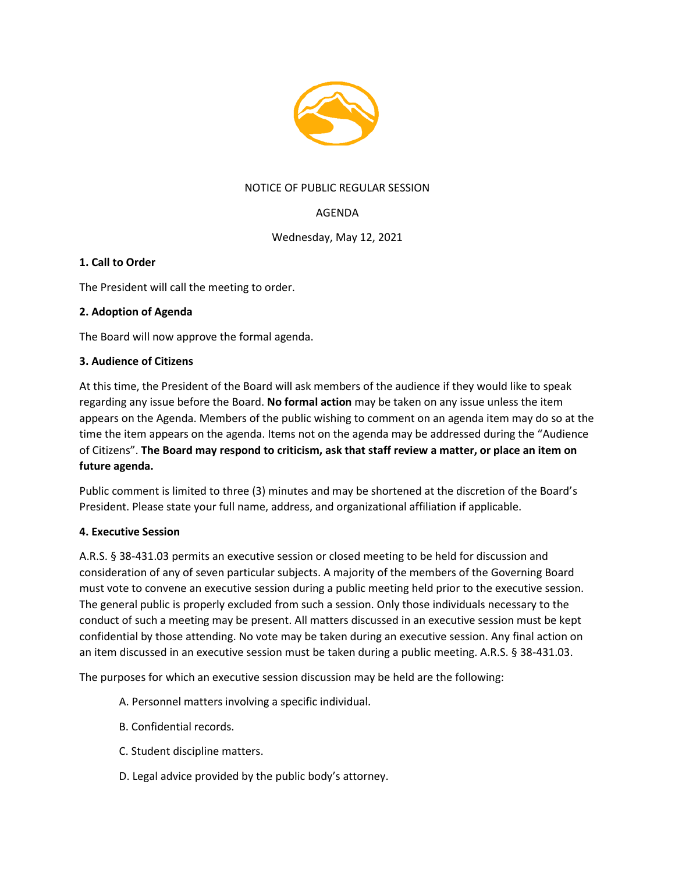

## NOTICE OF PUBLIC REGULAR SESSION

# AGENDA

Wednesday, May 12, 2021

### **1. Call to Order**

The President will call the meeting to order.

### **2. Adoption of Agenda**

The Board will now approve the formal agenda.

#### **3. Audience of Citizens**

At this time, the President of the Board will ask members of the audience if they would like to speak regarding any issue before the Board. **No formal action** may be taken on any issue unless the item appears on the Agenda. Members of the public wishing to comment on an agenda item may do so at the time the item appears on the agenda. Items not on the agenda may be addressed during the "Audience of Citizens". **The Board may respond to criticism, ask that staff review a matter, or place an item on future agenda.**

Public comment is limited to three (3) minutes and may be shortened at the discretion of the Board's President. Please state your full name, address, and organizational affiliation if applicable.

#### **4. Executive Session**

A.R.S. § 38-431.03 permits an executive session or closed meeting to be held for discussion and consideration of any of seven particular subjects. A majority of the members of the Governing Board must vote to convene an executive session during a public meeting held prior to the executive session. The general public is properly excluded from such a session. Only those individuals necessary to the conduct of such a meeting may be present. All matters discussed in an executive session must be kept confidential by those attending. No vote may be taken during an executive session. Any final action on an item discussed in an executive session must be taken during a public meeting. A.R.S. § 38-431.03.

The purposes for which an executive session discussion may be held are the following:

- A. Personnel matters involving a specific individual.
- B. Confidential records.
- C. Student discipline matters.
- D. Legal advice provided by the public body's attorney.